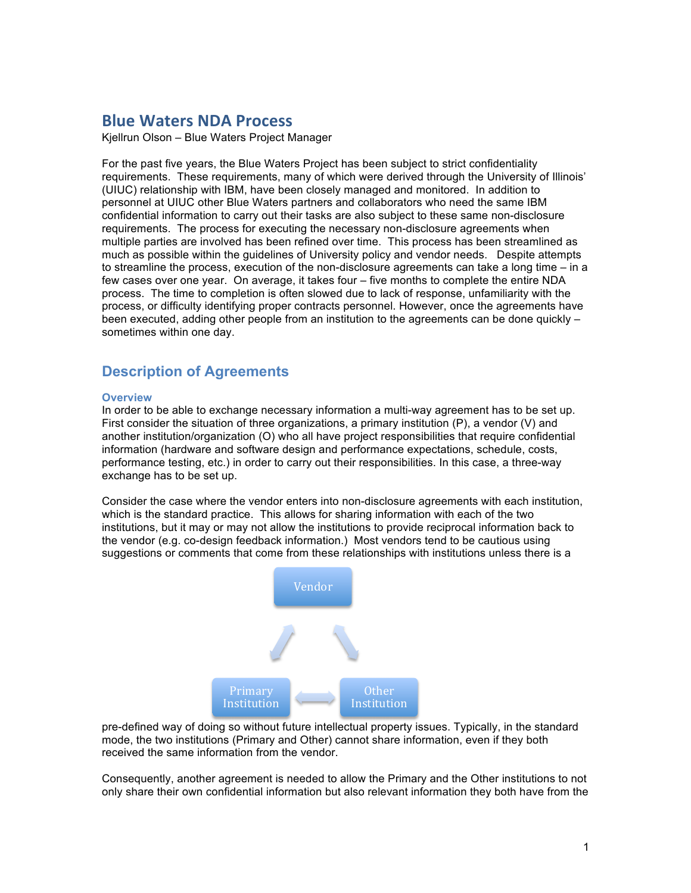# **Blue Waters NDA Process**

Kjellrun Olson – Blue Waters Project Manager

For the past five years, the Blue Waters Project has been subject to strict confidentiality requirements. These requirements, many of which were derived through the University of Illinois' (UIUC) relationship with IBM, have been closely managed and monitored. In addition to personnel at UIUC other Blue Waters partners and collaborators who need the same IBM confidential information to carry out their tasks are also subject to these same non-disclosure requirements. The process for executing the necessary non-disclosure agreements when multiple parties are involved has been refined over time. This process has been streamlined as much as possible within the guidelines of University policy and vendor needs. Despite attempts to streamline the process, execution of the non-disclosure agreements can take a long time – in a few cases over one year. On average, it takes four – five months to complete the entire NDA process. The time to completion is often slowed due to lack of response, unfamiliarity with the process, or difficulty identifying proper contracts personnel. However, once the agreements have been executed, adding other people from an institution to the agreements can be done quickly – sometimes within one day.

## **Description of Agreements**

#### **Overview**

In order to be able to exchange necessary information a multi-way agreement has to be set up. First consider the situation of three organizations, a primary institution (P), a vendor (V) and another institution/organization (O) who all have project responsibilities that require confidential information (hardware and software design and performance expectations, schedule, costs, performance testing, etc.) in order to carry out their responsibilities. In this case, a three-way exchange has to be set up.

Consider the case where the vendor enters into non-disclosure agreements with each institution, which is the standard practice. This allows for sharing information with each of the two institutions, but it may or may not allow the institutions to provide reciprocal information back to the vendor (e.g. co-design feedback information.) Most vendors tend to be cautious using suggestions or comments that come from these relationships with institutions unless there is a



pre-defined way of doing so without future intellectual property issues. Typically, in the standard mode, the two institutions (Primary and Other) cannot share information, even if they both received the same information from the vendor.

Consequently, another agreement is needed to allow the Primary and the Other institutions to not only share their own confidential information but also relevant information they both have from the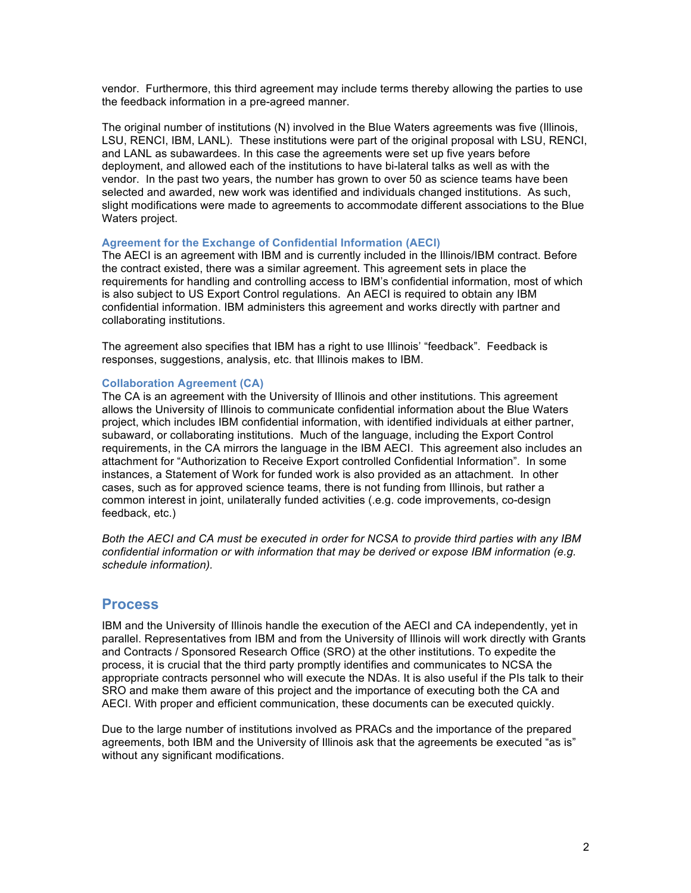vendor. Furthermore, this third agreement may include terms thereby allowing the parties to use the feedback information in a pre-agreed manner.

The original number of institutions (N) involved in the Blue Waters agreements was five (Illinois, LSU, RENCI, IBM, LANL). These institutions were part of the original proposal with LSU, RENCI, and LANL as subawardees. In this case the agreements were set up five years before deployment, and allowed each of the institutions to have bi-lateral talks as well as with the vendor. In the past two years, the number has grown to over 50 as science teams have been selected and awarded, new work was identified and individuals changed institutions. As such, slight modifications were made to agreements to accommodate different associations to the Blue Waters project.

#### **Agreement for the Exchange of Confidential Information (AECI)**

The AECI is an agreement with IBM and is currently included in the Illinois/IBM contract. Before the contract existed, there was a similar agreement. This agreement sets in place the requirements for handling and controlling access to IBM's confidential information, most of which is also subject to US Export Control regulations. An AECI is required to obtain any IBM confidential information. IBM administers this agreement and works directly with partner and collaborating institutions.

The agreement also specifies that IBM has a right to use Illinois' "feedback". Feedback is responses, suggestions, analysis, etc. that Illinois makes to IBM.

#### **Collaboration Agreement (CA)**

The CA is an agreement with the University of Illinois and other institutions. This agreement allows the University of Illinois to communicate confidential information about the Blue Waters project, which includes IBM confidential information, with identified individuals at either partner, subaward, or collaborating institutions. Much of the language, including the Export Control requirements, in the CA mirrors the language in the IBM AECI. This agreement also includes an attachment for "Authorization to Receive Export controlled Confidential Information". In some instances, a Statement of Work for funded work is also provided as an attachment. In other cases, such as for approved science teams, there is not funding from Illinois, but rather a common interest in joint, unilaterally funded activities (.e.g. code improvements, co-design feedback, etc.)

*Both the AECI and CA must be executed in order for NCSA to provide third parties with any IBM confidential information or with information that may be derived or expose IBM information (e.g. schedule information).*

### **Process**

IBM and the University of Illinois handle the execution of the AECI and CA independently, yet in parallel. Representatives from IBM and from the University of Illinois will work directly with Grants and Contracts / Sponsored Research Office (SRO) at the other institutions. To expedite the process, it is crucial that the third party promptly identifies and communicates to NCSA the appropriate contracts personnel who will execute the NDAs. It is also useful if the PIs talk to their SRO and make them aware of this project and the importance of executing both the CA and AECI. With proper and efficient communication, these documents can be executed quickly.

Due to the large number of institutions involved as PRACs and the importance of the prepared agreements, both IBM and the University of Illinois ask that the agreements be executed "as is" without any significant modifications.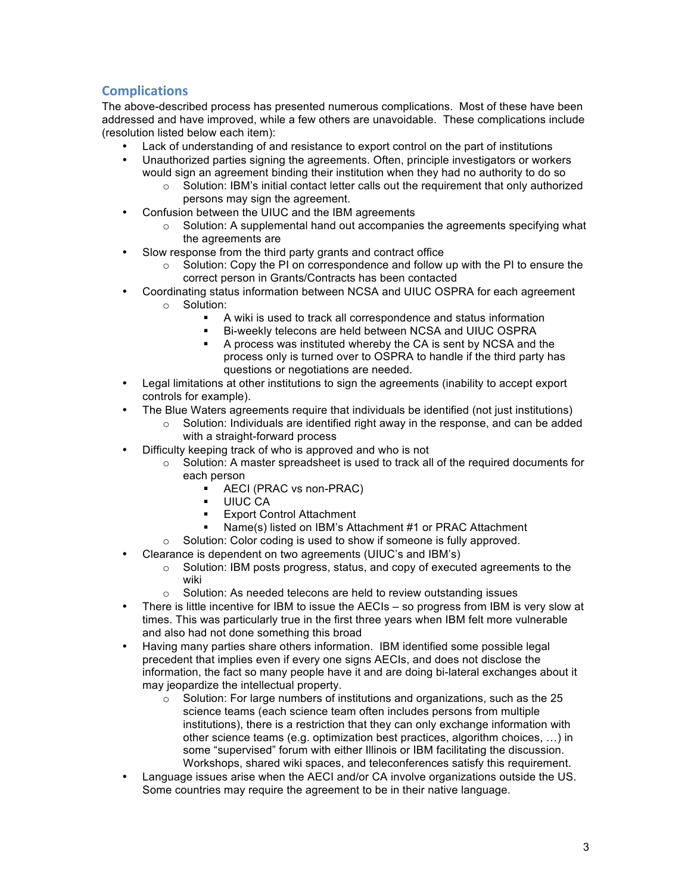# **Complications**

The above-described process has presented numerous complications. Most of these have been addressed and have improved, while a few others are unavoidable. These complications include (resolution listed below each item):

- Lack of understanding of and resistance to export control on the part of institutions
- Unauthorized parties signing the agreements. Often, principle investigators or workers would sign an agreement binding their institution when they had no authority to do so
	- o Solution: IBM's initial contact letter calls out the requirement that only authorized persons may sign the agreement.
- Confusion between the UIUC and the IBM agreements
	- $\circ$  Solution: A supplemental hand out accompanies the agreements specifying what the agreements are
- Slow response from the third party grants and contract office
	- $\circ$  Solution: Copy the PI on correspondence and follow up with the PI to ensure the correct person in Grants/Contracts has been contacted
- Coordinating status information between NCSA and UIUC OSPRA for each agreement o Solution:
	- A wiki is used to track all correspondence and status information
	- Bi-weekly telecons are held between NCSA and UIUC OSPRA
	- A process was instituted whereby the CA is sent by NCSA and the process only is turned over to OSPRA to handle if the third party has questions or negotiations are needed.
- Legal limitations at other institutions to sign the agreements (inability to accept export controls for example).
- The Blue Waters agreements require that individuals be identified (not just institutions)
	- $\circ$  Solution: Individuals are identified right away in the response, and can be added with a straight-forward process
- Difficulty keeping track of who is approved and who is not
	- $\circ$  Solution: A master spreadsheet is used to track all of the required documents for each person
		- AECI (PRAC vs non-PRAC)
		- UIUC CA
		- Export Control Attachment
		- Name(s) listed on IBM's Attachment #1 or PRAC Attachment
	- o Solution: Color coding is used to show if someone is fully approved.
	- Clearance is dependent on two agreements (UIUC's and IBM's)
		- $\circ$  Solution: IBM posts progress, status, and copy of executed agreements to the wiki
		- o Solution: As needed telecons are held to review outstanding issues
- There is little incentive for IBM to issue the AECIs so progress from IBM is very slow at times. This was particularly true in the first three years when IBM felt more vulnerable and also had not done something this broad
- Having many parties share others information. IBM identified some possible legal precedent that implies even if every one signs AECIs, and does not disclose the information, the fact so many people have it and are doing bi-lateral exchanges about it may ieopardize the intellectual property.
	- $\circ$  Solution: For large numbers of institutions and organizations, such as the 25 science teams (each science team often includes persons from multiple institutions), there is a restriction that they can only exchange information with other science teams (e.g. optimization best practices, algorithm choices, …) in some "supervised" forum with either Illinois or IBM facilitating the discussion. Workshops, shared wiki spaces, and teleconferences satisfy this requirement.
- Language issues arise when the AECI and/or CA involve organizations outside the US. Some countries may require the agreement to be in their native language.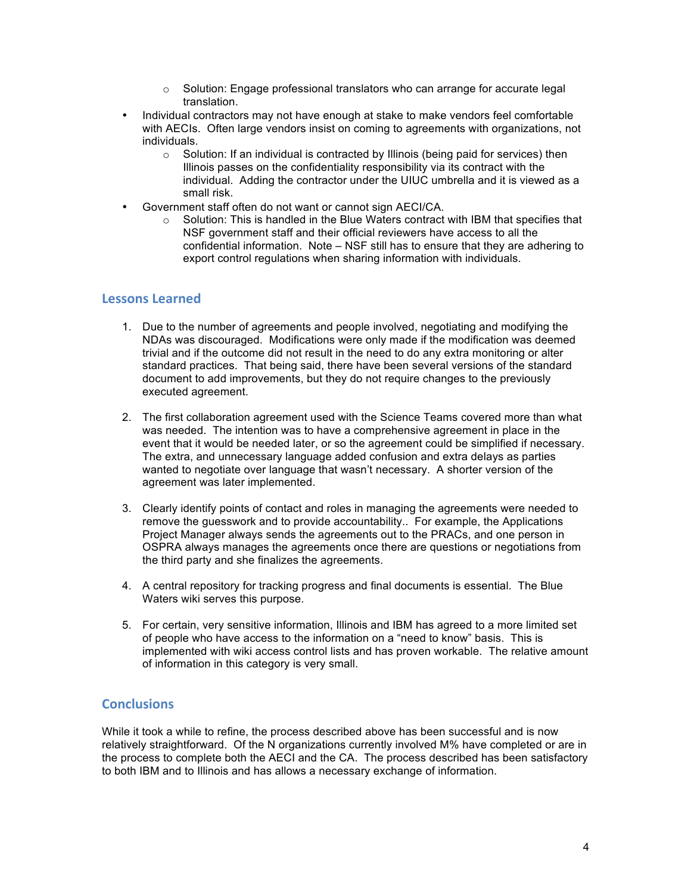- $\circ$  Solution: Engage professional translators who can arrange for accurate legal translation.
- Individual contractors may not have enough at stake to make vendors feel comfortable with AECIs. Often large vendors insist on coming to agreements with organizations, not individuals.
	- $\circ$  Solution: If an individual is contracted by Illinois (being paid for services) then Illinois passes on the confidentiality responsibility via its contract with the individual. Adding the contractor under the UIUC umbrella and it is viewed as a small risk.
- Government staff often do not want or cannot sign AECI/CA.
	- $\circ$  Solution: This is handled in the Blue Waters contract with IBM that specifies that NSF government staff and their official reviewers have access to all the confidential information. Note – NSF still has to ensure that they are adhering to export control regulations when sharing information with individuals.

### **Lessons%Learned**

- 1. Due to the number of agreements and people involved, negotiating and modifying the NDAs was discouraged. Modifications were only made if the modification was deemed trivial and if the outcome did not result in the need to do any extra monitoring or alter standard practices. That being said, there have been several versions of the standard document to add improvements, but they do not require changes to the previously executed agreement.
- 2. The first collaboration agreement used with the Science Teams covered more than what was needed. The intention was to have a comprehensive agreement in place in the event that it would be needed later, or so the agreement could be simplified if necessary. The extra, and unnecessary language added confusion and extra delays as parties wanted to negotiate over language that wasn't necessary. A shorter version of the agreement was later implemented.
- 3. Clearly identify points of contact and roles in managing the agreements were needed to remove the guesswork and to provide accountability.. For example, the Applications Project Manager always sends the agreements out to the PRACs, and one person in OSPRA always manages the agreements once there are questions or negotiations from the third party and she finalizes the agreements.
- 4. A central repository for tracking progress and final documents is essential. The Blue Waters wiki serves this purpose.
- 5. For certain, very sensitive information, Illinois and IBM has agreed to a more limited set of people who have access to the information on a "need to know" basis. This is implemented with wiki access control lists and has proven workable. The relative amount of information in this category is very small.

### **Conclusions**

While it took a while to refine, the process described above has been successful and is now relatively straightforward. Of the N organizations currently involved M% have completed or are in the process to complete both the AECI and the CA. The process described has been satisfactory to both IBM and to Illinois and has allows a necessary exchange of information.